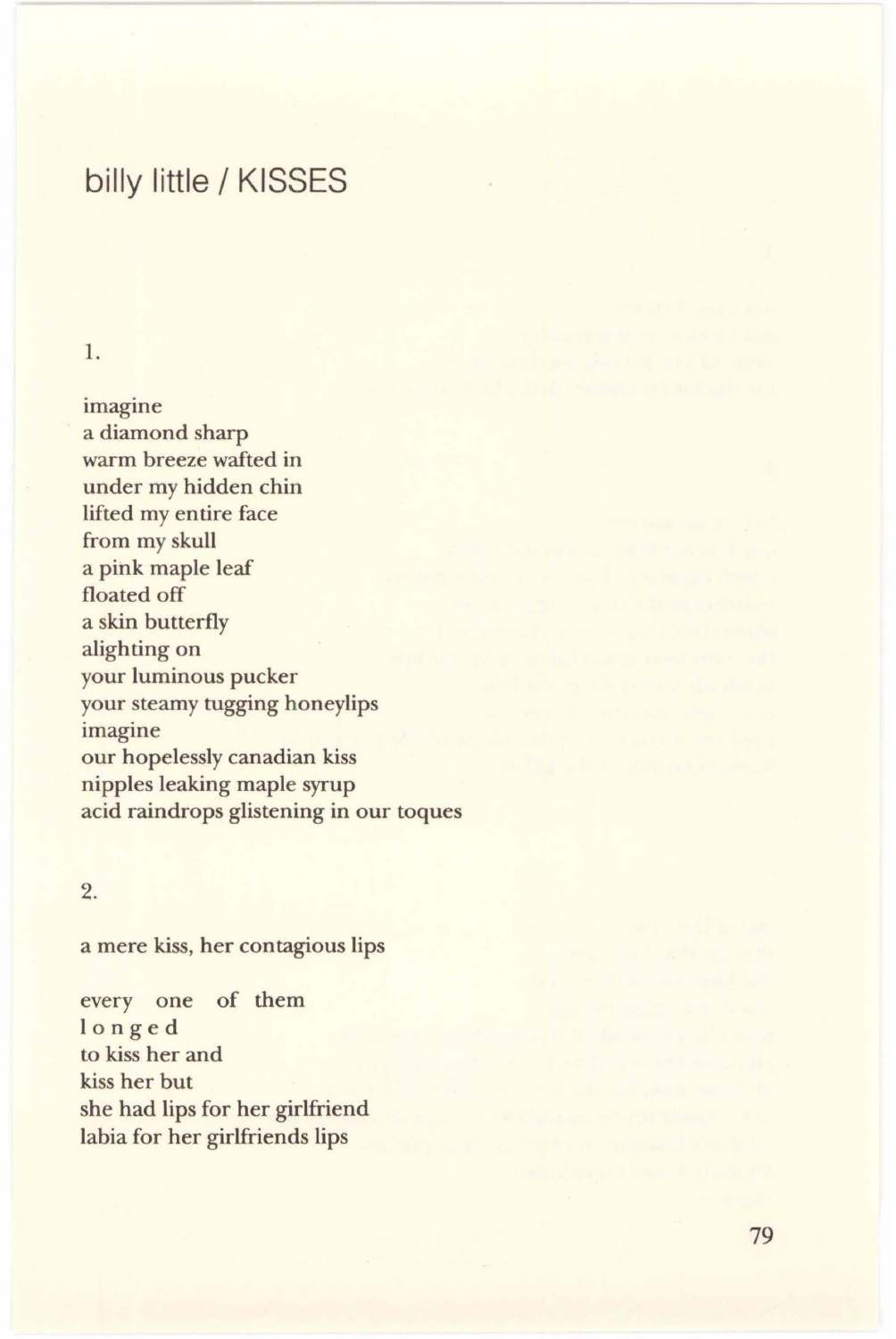# billy little / KISSES

# 1.

imagine a diamond sharp warm breeze wafted in under my hidden chin lifted my entire face from my skull a pink maple leaf floated off a skin butterfly alighting on your luminous pucker your steamy tugging honeylips imagine our hopelessly canadian kiss nipples leaking maple syrup acid raindrops glistening in our toques

# 2.

a mere kiss, her contagious lips

every one of them longed to kiss her and kiss her but she had lips for her girlfriend labia for her girlfriends lips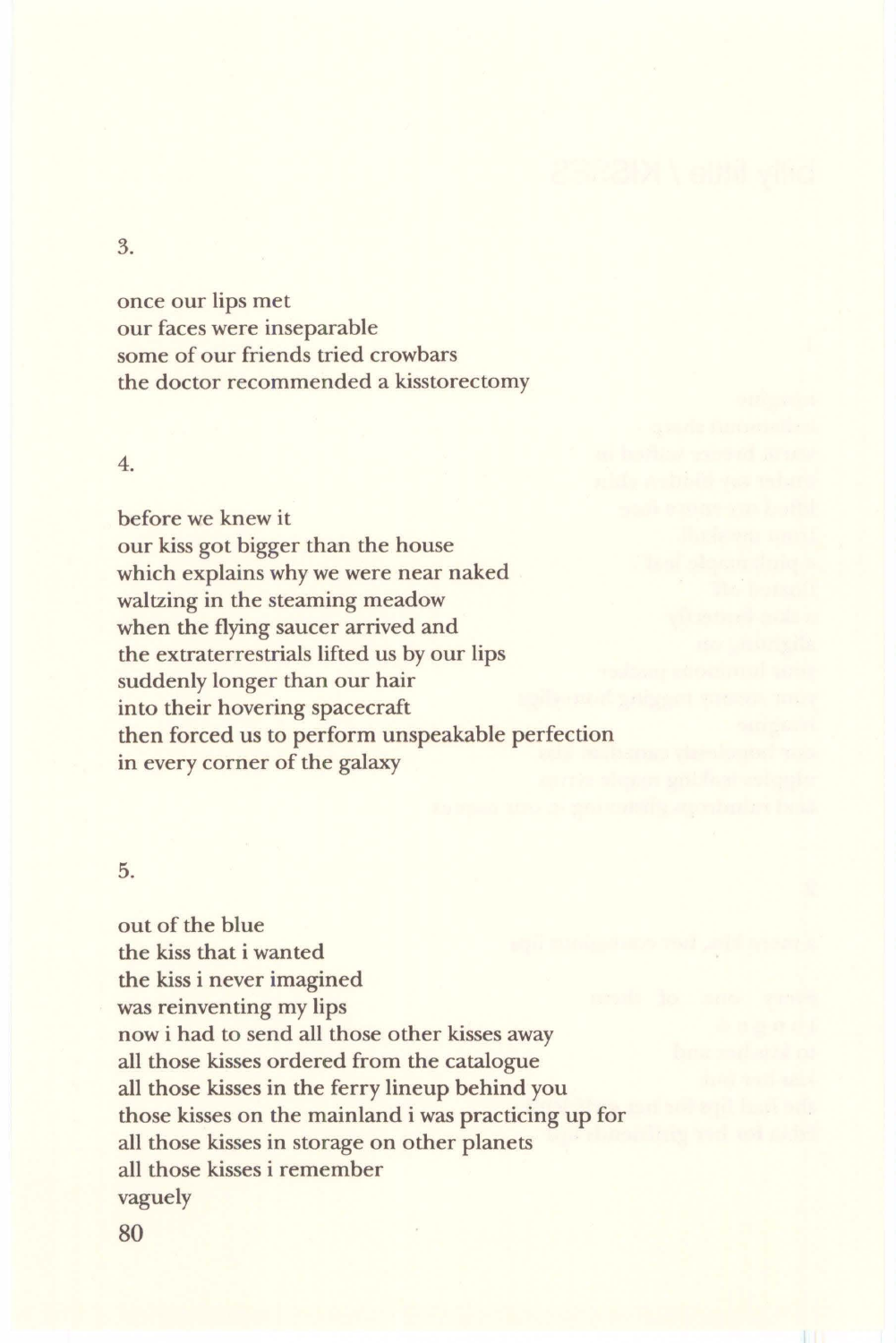3.

once our lips met our faces were inseparable some of our friends tried crowbars the doctor recommended a kisstorectomy

#### 4.

before we knew it our kiss got bigger than the house which explains why we were near naked waltzing in the steaming meadow when the flying saucer arrived and the extraterrestrials lifted us by our lips suddenly longer than our hair into their hovering spacecraft then forced us to perform unspeakable perfection in every corner of the galaxy

#### 5.

out of the blue the kiss that i wanted the kiss i never imagined was reinventing my lips now i had to send all those other kisses away all those kisses ordered from the catalogue all those kisses in the ferry lineup behind you those kisses on the mainland i was practicing up for all those kisses in storage on other planets all those kisses i remember vaguely

80